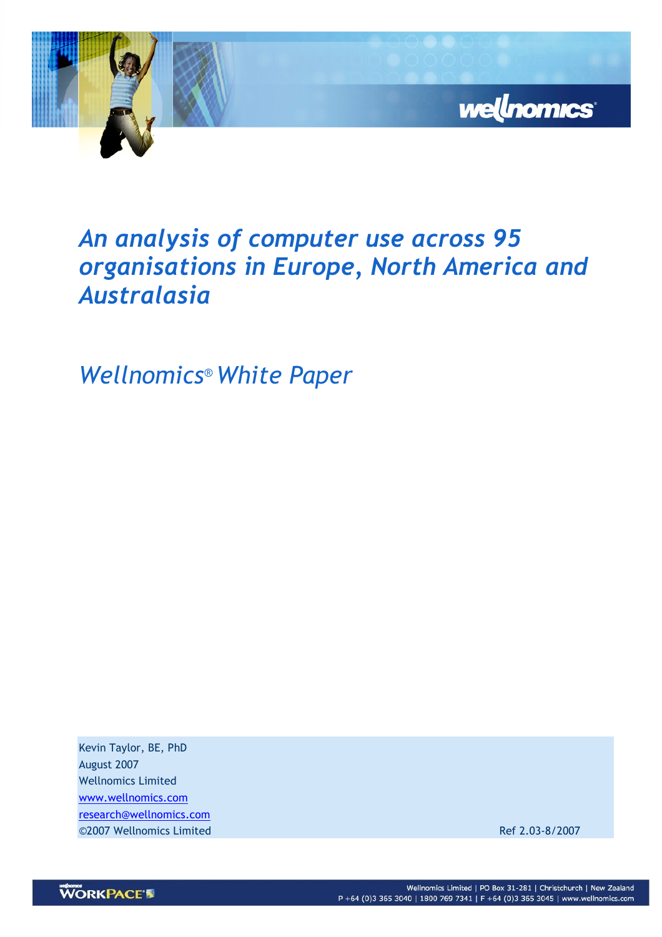

# An analysis of computer use across 95 organisations in Europe, North America and Australasia

Wellnomics® White Paper

Kevin Taylor, BE, PhD August 2007 Wellnomics Limited www.wellnomics.com research@wellnomics.com ©2007 Wellnomics Limited Ref 2.03-8/2007

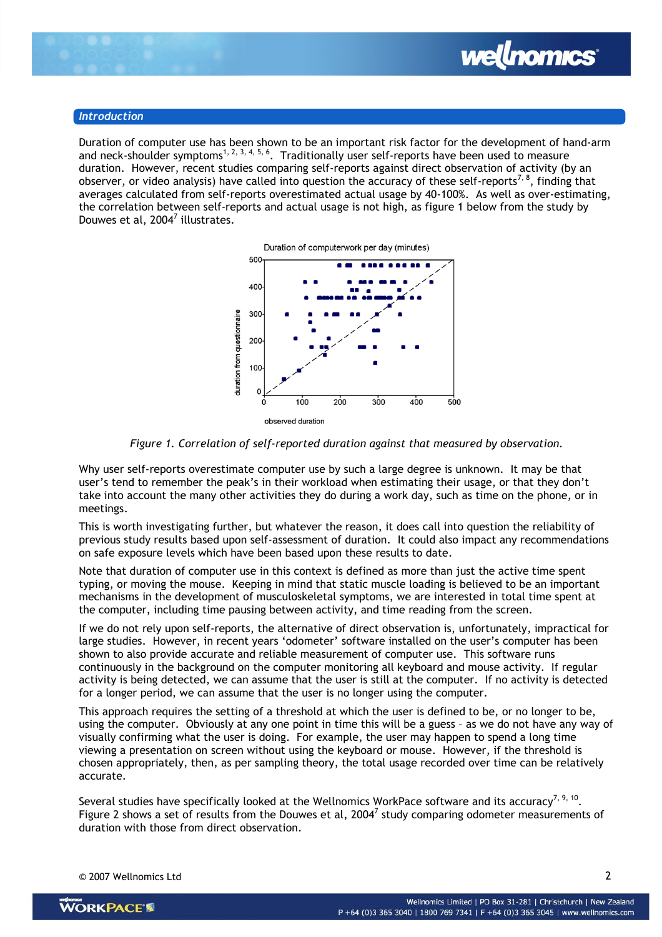

## Introduction

Duration of computer use has been shown to be an important risk factor for the development of hand-arm and neck-shoulder symptoms<sup>1, 2, 3, 4, 5, 6</sup>. Traditionally user self-reports have been used to measure duration. However, recent studies comparing self-reports against direct observation of activity (by an observer, or video analysis) have called into question the accuracy of these self-reports<sup>7, 8</sup>, finding that averages calculated from self-reports overestimated actual usage by 40-100%. As well as over-estimating, the correlation between self-reports and actual usage is not high, as figure 1 below from the study by Douwes et al, 2004 $^7$  illustrates.





Figure 1. Correlation of self-reported duration against that measured by observation.

Why user self-reports overestimate computer use by such a large degree is unknown. It may be that user's tend to remember the peak's in their workload when estimating their usage, or that they don't take into account the many other activities they do during a work day, such as time on the phone, or in meetings.

This is worth investigating further, but whatever the reason, it does call into question the reliability of previous study results based upon self-assessment of duration. It could also impact any recommendations on safe exposure levels which have been based upon these results to date.

Note that duration of computer use in this context is defined as more than just the active time spent typing, or moving the mouse. Keeping in mind that static muscle loading is believed to be an important mechanisms in the development of musculoskeletal symptoms, we are interested in total time spent at the computer, including time pausing between activity, and time reading from the screen.

If we do not rely upon self-reports, the alternative of direct observation is, unfortunately, impractical for large studies. However, in recent years 'odometer' software installed on the user's computer has been shown to also provide accurate and reliable measurement of computer use. This software runs continuously in the background on the computer monitoring all keyboard and mouse activity. If regular activity is being detected, we can assume that the user is still at the computer. If no activity is detected for a longer period, we can assume that the user is no longer using the computer.

This approach requires the setting of a threshold at which the user is defined to be, or no longer to be, using the computer. Obviously at any one point in time this will be a guess – as we do not have any way of visually confirming what the user is doing. For example, the user may happen to spend a long time viewing a presentation on screen without using the keyboard or mouse. However, if the threshold is chosen appropriately, then, as per sampling theory, the total usage recorded over time can be relatively accurate.

Several studies have specifically looked at the Wellnomics WorkPace software and its accuracy $^{7,\,9,\,10}.$ Figure 2 shows a set of results from the Douwes et al, 2004<sup>7</sup> study comparing odometer measurements of duration with those from direct observation.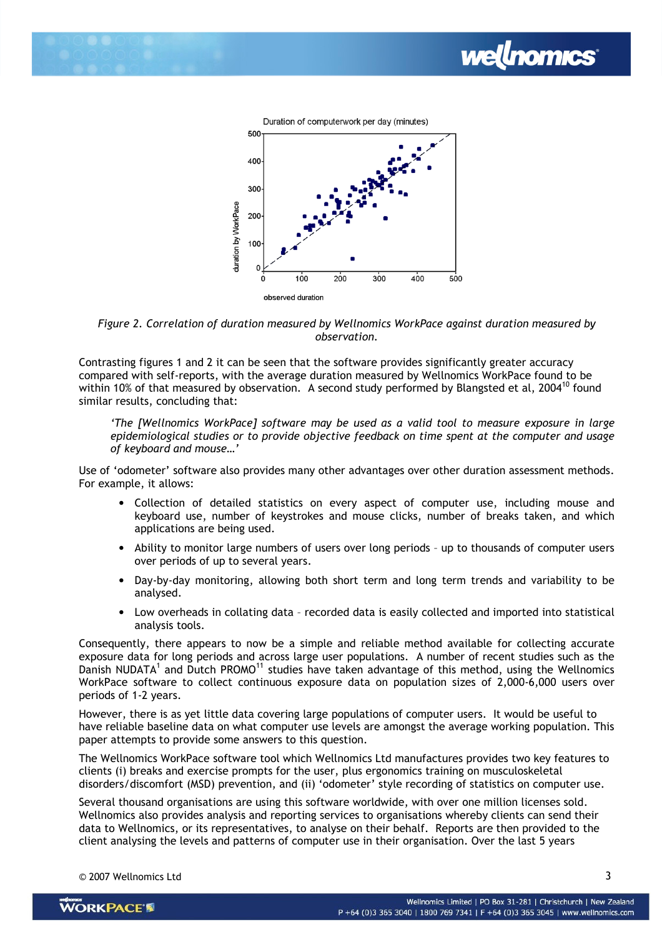



Figure 2. Correlation of duration measured by Wellnomics WorkPace against duration measured by observation.

Contrasting figures 1 and 2 it can be seen that the software provides significantly greater accuracy compared with self-reports, with the average duration measured by Wellnomics WorkPace found to be within 10% of that measured by observation. A second study performed by Blangsted et al, 2004<sup>10</sup> found similar results, concluding that:

'The [Wellnomics WorkPace] software may be used as a valid tool to measure exposure in large epidemiological studies or to provide objective feedback on time spent at the computer and usage of keyboard and mouse…'

Use of 'odometer' software also provides many other advantages over other duration assessment methods. For example, it allows:

- Collection of detailed statistics on every aspect of computer use, including mouse and keyboard use, number of keystrokes and mouse clicks, number of breaks taken, and which applications are being used.
- Ability to monitor large numbers of users over long periods up to thousands of computer users over periods of up to several years.
- Day-by-day monitoring, allowing both short term and long term trends and variability to be analysed.
- Low overheads in collating data recorded data is easily collected and imported into statistical analysis tools.

Consequently, there appears to now be a simple and reliable method available for collecting accurate exposure data for long periods and across large user populations. A number of recent studies such as the Danish NUDATA<sup>1</sup> and Dutch PROMO<sup>11</sup> studies have taken advantage of this method, using the Wellnomics WorkPace software to collect continuous exposure data on population sizes of 2,000-6,000 users over periods of 1-2 years.

However, there is as yet little data covering large populations of computer users. It would be useful to have reliable baseline data on what computer use levels are amongst the average working population. This paper attempts to provide some answers to this question.

The Wellnomics WorkPace software tool which Wellnomics Ltd manufactures provides two key features to clients (i) breaks and exercise prompts for the user, plus ergonomics training on musculoskeletal disorders/discomfort (MSD) prevention, and (ii) 'odometer' style recording of statistics on computer use.

Several thousand organisations are using this software worldwide, with over one million licenses sold. Wellnomics also provides analysis and reporting services to organisations whereby clients can send their data to Wellnomics, or its representatives, to analyse on their behalf. Reports are then provided to the client analysing the levels and patterns of computer use in their organisation. Over the last 5 years

 $\degree$  2007 Wellnomics Ltd  $\degree$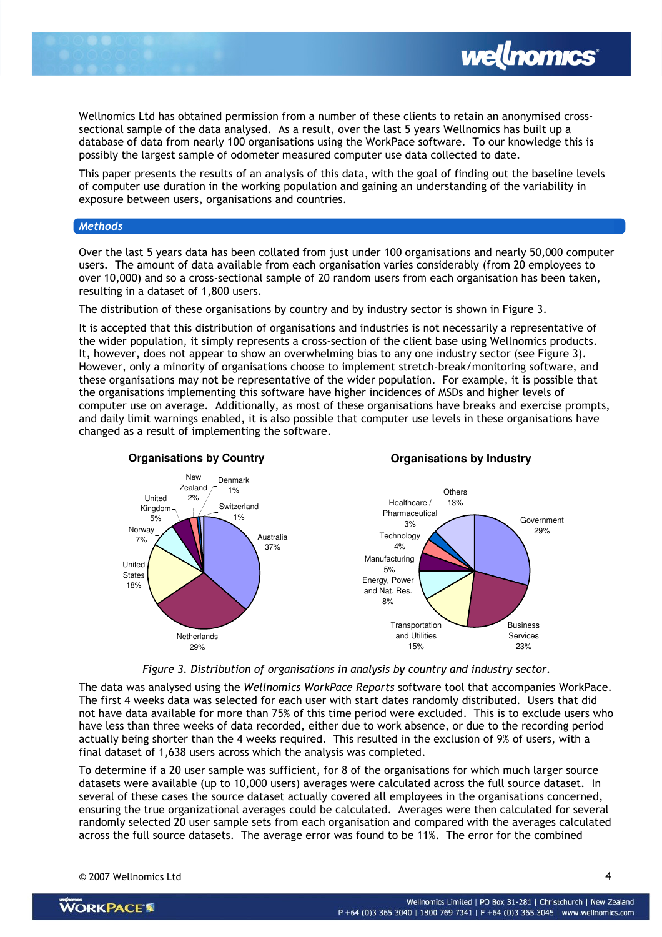

Wellnomics Ltd has obtained permission from a number of these clients to retain an anonymised crosssectional sample of the data analysed. As a result, over the last 5 years Wellnomics has built up a database of data from nearly 100 organisations using the WorkPace software. To our knowledge this is possibly the largest sample of odometer measured computer use data collected to date.

wellnomics

This paper presents the results of an analysis of this data, with the goal of finding out the baseline levels of computer use duration in the working population and gaining an understanding of the variability in exposure between users, organisations and countries.

#### **Methods**

Over the last 5 years data has been collated from just under 100 organisations and nearly 50,000 computer users. The amount of data available from each organisation varies considerably (from 20 employees to over 10,000) and so a cross-sectional sample of 20 random users from each organisation has been taken, resulting in a dataset of 1,800 users.

The distribution of these organisations by country and by industry sector is shown in Figure 3.

It is accepted that this distribution of organisations and industries is not necessarily a representative of the wider population, it simply represents a cross-section of the client base using Wellnomics products. It, however, does not appear to show an overwhelming bias to any one industry sector (see Figure 3). However, only a minority of organisations choose to implement stretch-break/monitoring software, and these organisations may not be representative of the wider population. For example, it is possible that the organisations implementing this software have higher incidences of MSDs and higher levels of computer use on average. Additionally, as most of these organisations have breaks and exercise prompts, and daily limit warnings enabled, it is also possible that computer use levels in these organisations have changed as a result of implementing the software.





The data was analysed using the Wellnomics WorkPace Reports software tool that accompanies WorkPace. The first 4 weeks data was selected for each user with start dates randomly distributed. Users that did not have data available for more than 75% of this time period were excluded. This is to exclude users who have less than three weeks of data recorded, either due to work absence, or due to the recording period actually being shorter than the 4 weeks required. This resulted in the exclusion of 9% of users, with a final dataset of 1,638 users across which the analysis was completed.

To determine if a 20 user sample was sufficient, for 8 of the organisations for which much larger source datasets were available (up to 10,000 users) averages were calculated across the full source dataset. In several of these cases the source dataset actually covered all employees in the organisations concerned, ensuring the true organizational averages could be calculated. Averages were then calculated for several randomly selected 20 user sample sets from each organisation and compared with the averages calculated across the full source datasets. The average error was found to be 11%. The error for the combined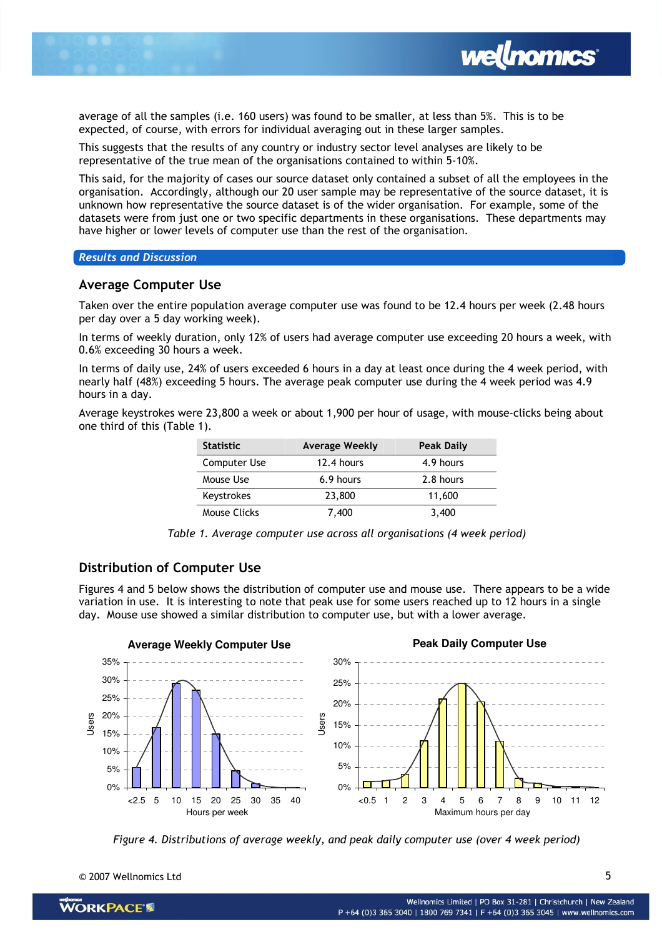

average of all the samples (i.e. 160 users) was found to be smaller, at less than 5%. This is to be expected, of course, with errors for individual averaging out in these larger samples.

This suggests that the results of any country or industry sector level analyses are likely to be representative of the true mean of the organisations contained to within 5-10%.

This said, for the majority of cases our source dataset only contained a subset of all the employees in the organisation. Accordingly, although our 20 user sample may be representative of the source dataset, it is unknown how representative the source dataset is of the wider organisation. For example, some of the datasets were from just one or two specific departments in these organisations. These departments may have higher or lower levels of computer use than the rest of the organisation.

#### Results and Discussion

## Average Computer Use

Taken over the entire population average computer use was found to be 12.4 hours per week (2.48 hours per day over a 5 day working week).

In terms of weekly duration, only 12% of users had average computer use exceeding 20 hours a week, with 0.6% exceeding 30 hours a week.

In terms of daily use, 24% of users exceeded 6 hours in a day at least once during the 4 week period, with nearly half (48%) exceeding 5 hours. The average peak computer use during the 4 week period was 4.9 hours in a day.

Average keystrokes were 23,800 a week or about 1,900 per hour of usage, with mouse-clicks being about one third of this (Table 1).

| <b>Statistic</b> | <b>Average Weekly</b> | <b>Peak Daily</b> |
|------------------|-----------------------|-------------------|
| Computer Use     | 12.4 hours            | 4.9 hours         |
| Mouse Use        | 6.9 hours             | 2.8 hours         |
| Keystrokes       | 23,800                | 11,600            |
| Mouse Clicks     | 7,400                 | 3,400             |

Table 1. Average computer use across all organisations (4 week period)

## Distribution of Computer Use

Figures 4 and 5 below shows the distribution of computer use and mouse use. There appears to be a wide variation in use. It is interesting to note that peak use for some users reached up to 12 hours in a single day. Mouse use showed a similar distribution to computer use, but with a lower average.



Figure 4. Distributions of average weekly, and peak daily computer use (over 4 week period)

 $\circledcirc$  2007 Wellnomics Ltd  $^{5}$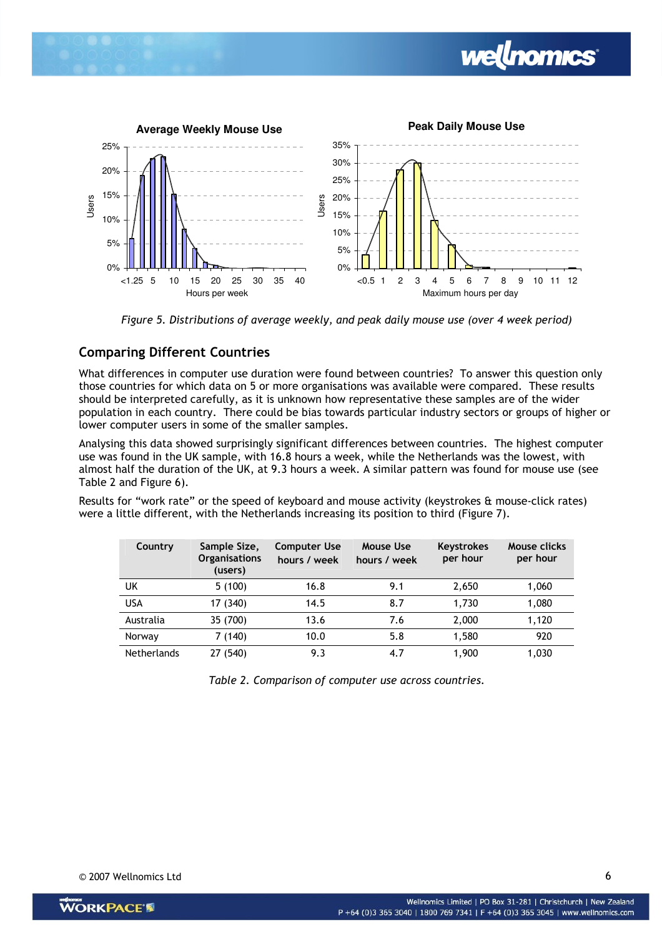



Figure 5. Distributions of average weekly, and peak daily mouse use (over 4 week period)

## Comparing Different Countries

What differences in computer use duration were found between countries? To answer this question only those countries for which data on 5 or more organisations was available were compared. These results should be interpreted carefully, as it is unknown how representative these samples are of the wider population in each country. There could be bias towards particular industry sectors or groups of higher or lower computer users in some of the smaller samples.

Analysing this data showed surprisingly significant differences between countries. The highest computer use was found in the UK sample, with 16.8 hours a week, while the Netherlands was the lowest, with almost half the duration of the UK, at 9.3 hours a week. A similar pattern was found for mouse use (see Table 2 and Figure 6).

Results for "work rate" or the speed of keyboard and mouse activity (keystrokes & mouse-click rates) were a little different, with the Netherlands increasing its position to third (Figure 7).

| Country            | Sample Size,<br><b>Organisations</b><br>(users) | <b>Computer Use</b><br>hours / week | Mouse Use<br>hours / week | Keystrokes<br>per hour | Mouse clicks<br>per hour |
|--------------------|-------------------------------------------------|-------------------------------------|---------------------------|------------------------|--------------------------|
| UK                 | 5(100)                                          | 16.8                                | 9.1                       | 2,650                  | 1,060                    |
| <b>USA</b>         | 17 (340)                                        | 14.5                                | 8.7                       | 1,730                  | 1,080                    |
| Australia          | 35 (700)                                        | 13.6                                | 7.6                       | 2,000                  | 1,120                    |
| Norway             | 7(140)                                          | 10.0                                | 5.8                       | 1,580                  | 920                      |
| <b>Netherlands</b> | 27 (540)                                        | 9.3                                 | 4.7                       | 1,900                  | 1,030                    |

Table 2. Comparison of computer use across countries.

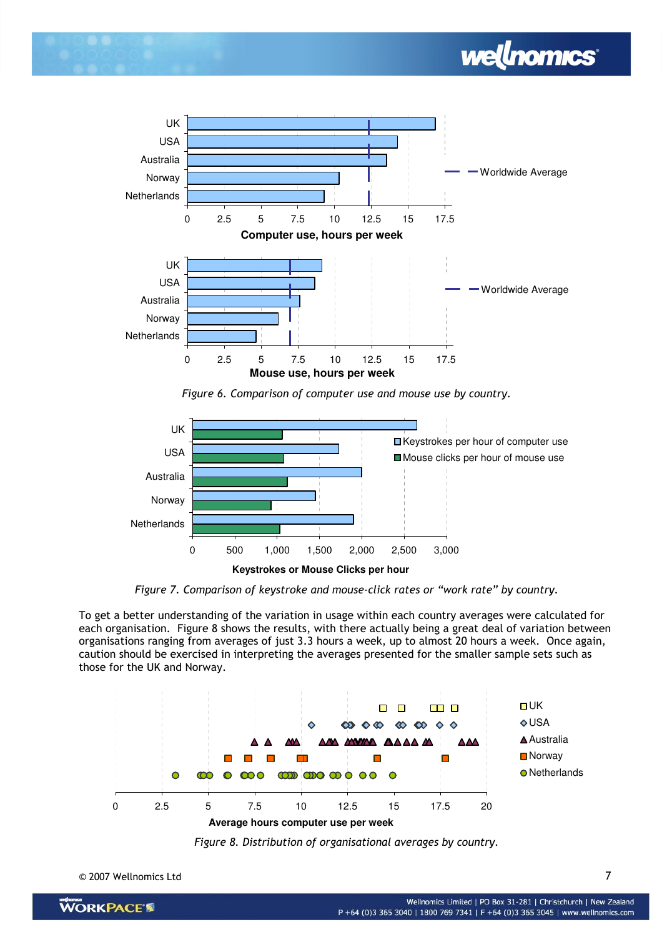





Figure 6. Comparison of computer use and mouse use by country.



Figure 7. Comparison of keystroke and mouse-click rates or "work rate" by country.

To get a better understanding of the variation in usage within each country averages were calculated for each organisation. Figure 8 shows the results, with there actually being a great deal of variation between organisations ranging from averages of just 3.3 hours a week, up to almost 20 hours a week. Once again, caution should be exercised in interpreting the averages presented for the smaller sample sets such as those for the UK and Norway.



Figure 8. Distribution of organisational averages by country.

© 2007 Wellnomics Ltd 7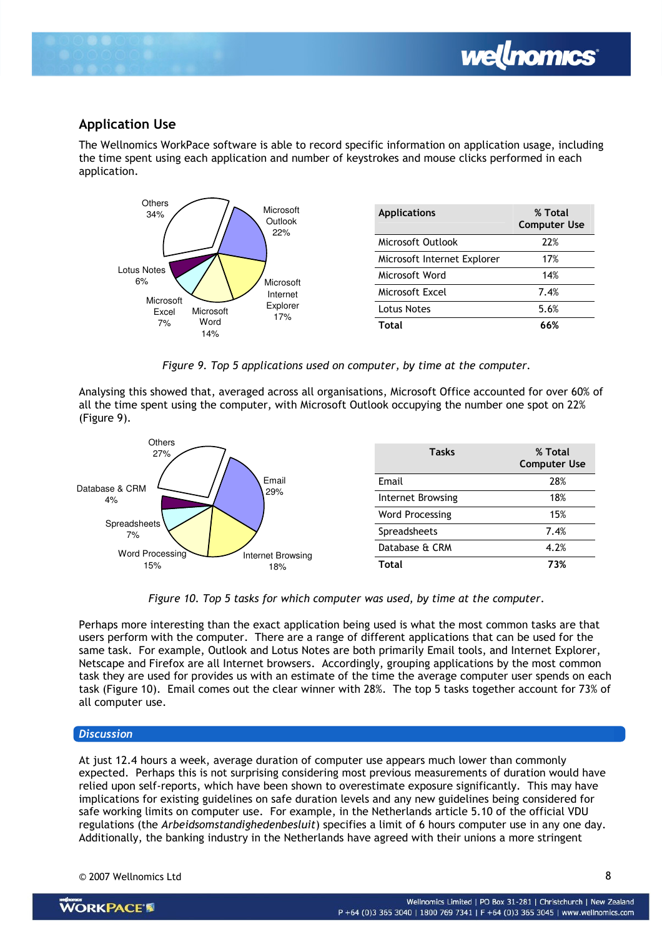

## Application Use

The Wellnomics WorkPace software is able to record specific information on application usage, including the time spent using each application and number of keystrokes and mouse clicks performed in each application.



Figure 9. Top 5 applications used on computer, by time at the computer.

Analysing this showed that, averaged across all organisations, Microsoft Office accounted for over 60% of all the time spent using the computer, with Microsoft Outlook occupying the number one spot on 22% (Figure 9).



Figure 10. Top 5 tasks for which computer was used, by time at the computer.

Perhaps more interesting than the exact application being used is what the most common tasks are that users perform with the computer. There are a range of different applications that can be used for the same task. For example, Outlook and Lotus Notes are both primarily Email tools, and Internet Explorer, Netscape and Firefox are all Internet browsers. Accordingly, grouping applications by the most common task they are used for provides us with an estimate of the time the average computer user spends on each task (Figure 10). Email comes out the clear winner with 28%. The top 5 tasks together account for 73% of all computer use.

## **Discussion**

At just 12.4 hours a week, average duration of computer use appears much lower than commonly expected. Perhaps this is not surprising considering most previous measurements of duration would have relied upon self-reports, which have been shown to overestimate exposure significantly. This may have implications for existing guidelines on safe duration levels and any new guidelines being considered for safe working limits on computer use. For example, in the Netherlands article 5.10 of the official VDU regulations (the Arbeidsomstandighedenbesluit) specifies a limit of 6 hours computer use in any one day. Additionally, the banking industry in the Netherlands have agreed with their unions a more stringent

© 2007 Wellnomics Ltd 8

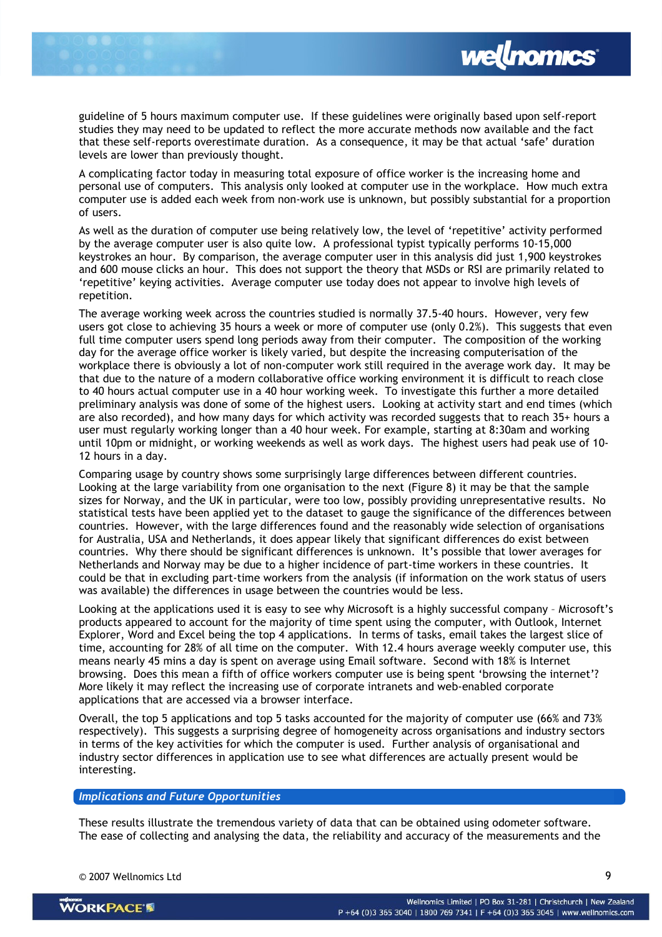guideline of 5 hours maximum computer use. If these guidelines were originally based upon self-report studies they may need to be updated to reflect the more accurate methods now available and the fact that these self-reports overestimate duration. As a consequence, it may be that actual 'safe' duration levels are lower than previously thought.

A complicating factor today in measuring total exposure of office worker is the increasing home and personal use of computers. This analysis only looked at computer use in the workplace. How much extra computer use is added each week from non-work use is unknown, but possibly substantial for a proportion of users.

As well as the duration of computer use being relatively low, the level of 'repetitive' activity performed by the average computer user is also quite low. A professional typist typically performs 10-15,000 keystrokes an hour. By comparison, the average computer user in this analysis did just 1,900 keystrokes and 600 mouse clicks an hour. This does not support the theory that MSDs or RSI are primarily related to 'repetitive' keying activities. Average computer use today does not appear to involve high levels of repetition.

The average working week across the countries studied is normally 37.5-40 hours. However, very few users got close to achieving 35 hours a week or more of computer use (only 0.2%). This suggests that even full time computer users spend long periods away from their computer. The composition of the working day for the average office worker is likely varied, but despite the increasing computerisation of the workplace there is obviously a lot of non-computer work still required in the average work day. It may be that due to the nature of a modern collaborative office working environment it is difficult to reach close to 40 hours actual computer use in a 40 hour working week. To investigate this further a more detailed preliminary analysis was done of some of the highest users. Looking at activity start and end times (which are also recorded), and how many days for which activity was recorded suggests that to reach 35+ hours a user must regularly working longer than a 40 hour week. For example, starting at 8:30am and working until 10pm or midnight, or working weekends as well as work days. The highest users had peak use of 10- 12 hours in a day.

Comparing usage by country shows some surprisingly large differences between different countries. Looking at the large variability from one organisation to the next (Figure 8) it may be that the sample sizes for Norway, and the UK in particular, were too low, possibly providing unrepresentative results. No statistical tests have been applied yet to the dataset to gauge the significance of the differences between countries. However, with the large differences found and the reasonably wide selection of organisations for Australia, USA and Netherlands, it does appear likely that significant differences do exist between countries. Why there should be significant differences is unknown. It's possible that lower averages for Netherlands and Norway may be due to a higher incidence of part-time workers in these countries. It could be that in excluding part-time workers from the analysis (if information on the work status of users was available) the differences in usage between the countries would be less.

Looking at the applications used it is easy to see why Microsoft is a highly successful company – Microsoft's products appeared to account for the majority of time spent using the computer, with Outlook, Internet Explorer, Word and Excel being the top 4 applications. In terms of tasks, email takes the largest slice of time, accounting for 28% of all time on the computer. With 12.4 hours average weekly computer use, this means nearly 45 mins a day is spent on average using Email software. Second with 18% is Internet browsing. Does this mean a fifth of office workers computer use is being spent 'browsing the internet'? More likely it may reflect the increasing use of corporate intranets and web-enabled corporate applications that are accessed via a browser interface.

Overall, the top 5 applications and top 5 tasks accounted for the majority of computer use (66% and 73% respectively). This suggests a surprising degree of homogeneity across organisations and industry sectors in terms of the key activities for which the computer is used. Further analysis of organisational and industry sector differences in application use to see what differences are actually present would be interesting.

## Implications and Future Opportunities

These results illustrate the tremendous variety of data that can be obtained using odometer software. The ease of collecting and analysing the data, the reliability and accuracy of the measurements and the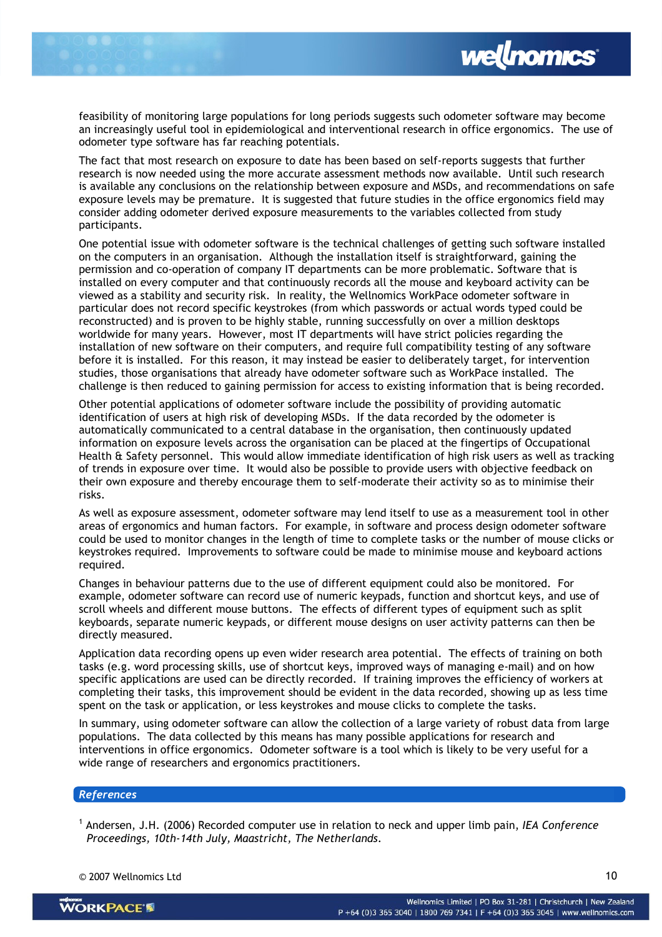

feasibility of monitoring large populations for long periods suggests such odometer software may become an increasingly useful tool in epidemiological and interventional research in office ergonomics. The use of odometer type software has far reaching potentials.

The fact that most research on exposure to date has been based on self-reports suggests that further research is now needed using the more accurate assessment methods now available. Until such research is available any conclusions on the relationship between exposure and MSDs, and recommendations on safe exposure levels may be premature. It is suggested that future studies in the office ergonomics field may consider adding odometer derived exposure measurements to the variables collected from study participants.

One potential issue with odometer software is the technical challenges of getting such software installed on the computers in an organisation. Although the installation itself is straightforward, gaining the permission and co-operation of company IT departments can be more problematic. Software that is installed on every computer and that continuously records all the mouse and keyboard activity can be viewed as a stability and security risk. In reality, the Wellnomics WorkPace odometer software in particular does not record specific keystrokes (from which passwords or actual words typed could be reconstructed) and is proven to be highly stable, running successfully on over a million desktops worldwide for many years. However, most IT departments will have strict policies regarding the installation of new software on their computers, and require full compatibility testing of any software before it is installed. For this reason, it may instead be easier to deliberately target, for intervention studies, those organisations that already have odometer software such as WorkPace installed. The challenge is then reduced to gaining permission for access to existing information that is being recorded.

Other potential applications of odometer software include the possibility of providing automatic identification of users at high risk of developing MSDs. If the data recorded by the odometer is automatically communicated to a central database in the organisation, then continuously updated information on exposure levels across the organisation can be placed at the fingertips of Occupational Health & Safety personnel. This would allow immediate identification of high risk users as well as tracking of trends in exposure over time. It would also be possible to provide users with objective feedback on their own exposure and thereby encourage them to self-moderate their activity so as to minimise their risks.

As well as exposure assessment, odometer software may lend itself to use as a measurement tool in other areas of ergonomics and human factors. For example, in software and process design odometer software could be used to monitor changes in the length of time to complete tasks or the number of mouse clicks or keystrokes required. Improvements to software could be made to minimise mouse and keyboard actions required.

Changes in behaviour patterns due to the use of different equipment could also be monitored. For example, odometer software can record use of numeric keypads, function and shortcut keys, and use of scroll wheels and different mouse buttons. The effects of different types of equipment such as split keyboards, separate numeric keypads, or different mouse designs on user activity patterns can then be directly measured.

Application data recording opens up even wider research area potential. The effects of training on both tasks (e.g. word processing skills, use of shortcut keys, improved ways of managing e-mail) and on how specific applications are used can be directly recorded. If training improves the efficiency of workers at completing their tasks, this improvement should be evident in the data recorded, showing up as less time spent on the task or application, or less keystrokes and mouse clicks to complete the tasks.

In summary, using odometer software can allow the collection of a large variety of robust data from large populations. The data collected by this means has many possible applications for research and interventions in office ergonomics. Odometer software is a tool which is likely to be very useful for a wide range of researchers and ergonomics practitioners.

## References

<sup>1</sup> Andersen, J.H. (2006) Recorded computer use in relation to neck and upper limb pain, IEA Conference Proceedings, 10th-14th July, Maastricht, The Netherlands.

<sup>© 2007</sup> Wellnomics Ltd 10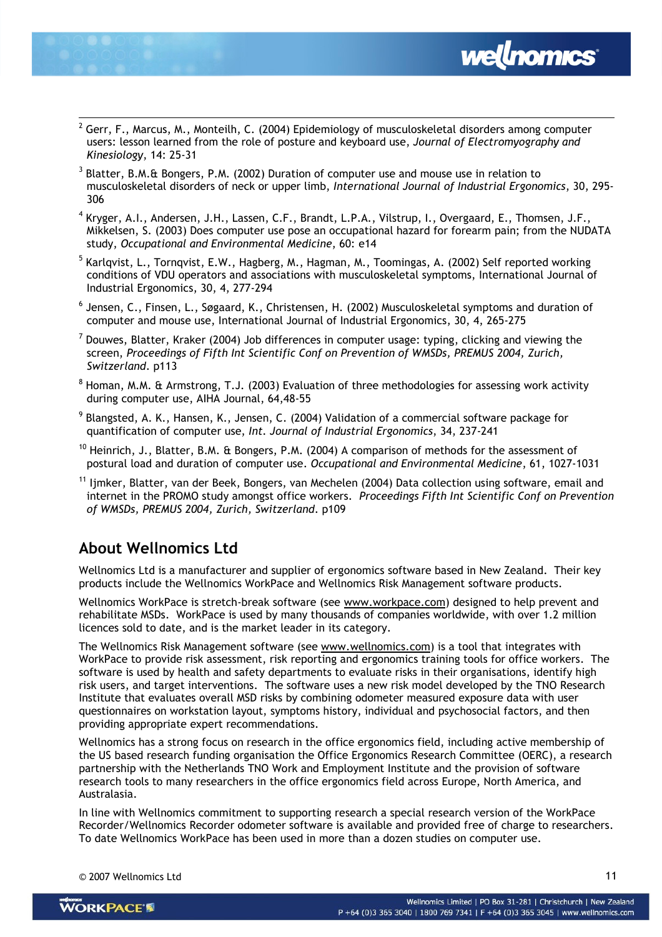

 $3$  Blatter, B.M.& Bongers, P.M. (2002) Duration of computer use and mouse use in relation to musculoskeletal disorders of neck or upper limb, International Journal of Industrial Ergonomics, 30, 295- 306

*wellnomics* 

- 4 Kryger, A.I., Andersen, J.H., Lassen, C.F., Brandt, L.P.A., Vilstrup, I., Overgaard, E., Thomsen, J.F., Mikkelsen, S. (2003) Does computer use pose an occupational hazard for forearm pain; from the NUDATA study, Occupational and Environmental Medicine, 60: e14
- <sup>5</sup> Karlqvist, L., Tornqvist, E.W., Hagberg, M., Hagman, M., Toomingas, A. (2002) Self reported working conditions of VDU operators and associations with musculoskeletal symptoms, International Journal of Industrial Ergonomics, 30, 4, 277-294
- $^6$  Jensen, C., Finsen, L., Søgaard, K., Christensen, H. (2002) Musculoskeletal symptoms and duration of computer and mouse use, International Journal of Industrial Ergonomics, 30, 4, 265-275
- $^7$  Douwes, Blatter, Kraker (2004) Job differences in computer usage: typing, clicking and viewing the screen, Proceedings of Fifth Int Scientific Conf on Prevention of WMSDs, PREMUS 2004, Zurich, Switzerland. p113
- $^8$  Homan, M.M. & Armstrong, T.J. (2003) Evaluation of three methodologies for assessing work activity during computer use, AIHA Journal, 64,48-55
- $^9$  Blangsted, A. K., Hansen, K., Jensen, C. (2004) Validation of a commercial software package for quantification of computer use, Int. Journal of Industrial Ergonomics, 34, 237-241
- $10$  Heinrich, J., Blatter, B.M. & Bongers, P.M. (2004) A comparison of methods for the assessment of postural load and duration of computer use. Occupational and Environmental Medicine, 61, 1027-1031
- <sup>11</sup> Ijmker, Blatter, van der Beek, Bongers, van Mechelen (2004) Data collection using software, email and internet in the PROMO study amongst office workers. Proceedings Fifth Int Scientific Conf on Prevention of WMSDs, PREMUS 2004, Zurich, Switzerland. p109

## About Wellnomics Ltd

Wellnomics Ltd is a manufacturer and supplier of ergonomics software based in New Zealand. Their key products include the Wellnomics WorkPace and Wellnomics Risk Management software products.

Wellnomics WorkPace is stretch-break software (see www.workpace.com) designed to help prevent and rehabilitate MSDs. WorkPace is used by many thousands of companies worldwide, with over 1.2 million licences sold to date, and is the market leader in its category.

The Wellnomics Risk Management software (see www.wellnomics.com) is a tool that integrates with WorkPace to provide risk assessment, risk reporting and ergonomics training tools for office workers. The software is used by health and safety departments to evaluate risks in their organisations, identify high risk users, and target interventions. The software uses a new risk model developed by the TNO Research Institute that evaluates overall MSD risks by combining odometer measured exposure data with user questionnaires on workstation layout, symptoms history, individual and psychosocial factors, and then providing appropriate expert recommendations.

Wellnomics has a strong focus on research in the office ergonomics field, including active membership of the US based research funding organisation the Office Ergonomics Research Committee (OERC), a research partnership with the Netherlands TNO Work and Employment Institute and the provision of software research tools to many researchers in the office ergonomics field across Europe, North America, and Australasia.

In line with Wellnomics commitment to supporting research a special research version of the WorkPace Recorder/Wellnomics Recorder odometer software is available and provided free of charge to researchers. To date Wellnomics WorkPace has been used in more than a dozen studies on computer use.